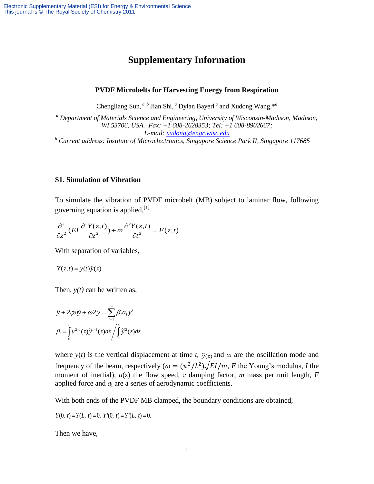# **Supplementary Information**

### **PVDF Microbelts for Harvesting Energy from Respiration**

Chengliang Sun, <sup>*a*, *b*</sup> Jian Shi, <sup>*a*</sup> Dylan Bayerl <sup>*a*</sup> and Xudong Wang,  $*$ <sup>*a*</sup>

*<sup>a</sup> Department of Materials Science and Engineering, University of Wisconsin-Madison, Madison, WI 53706, USA. Fax: +1 608-2628353; Tel: +1 608-8902667; E-mail: [xudong@engr.wisc.edu](mailto:xudong@engr.wisc.edu) <sup>b</sup> Current address: Institute of Microelectronics, Singapore Science Park II, Singapore 117685*

### **S1. Simulation of Vibration**

To simulate the vibration of PVDF microbelt (MB) subject to laminar flow, following governing equation is applied,<sup>[1]</sup>

governing equation is applied,  
\n
$$
\frac{\partial^2}{\partial z^2} (EI \frac{\partial^2 Y(z,t)}{\partial z^2}) + m \frac{\partial^2 Y(z,t)}{\partial t^2} = F(z,t)
$$

With separation of variables,

$$
Y(z,t) = y(t)\tilde{y}(z)
$$

Then,  $y(t)$  can be written as,

$$
\ddot{y} + 2\varsigma \omega \dot{y} + \omega 2 y = \sum_{i=1}^{\infty} \beta_i a_i \dot{y}^i
$$

$$
\beta_i = \int_0^L u^{2-i}(z) \tilde{y}^{i+1}(z) dz / \int_0^L \tilde{y}^2(z) dz
$$

where  $y(t)$  is the vertical displacement at time *t*,  $\tilde{y}(z)$  and  $\omega$  are the oscillation mode and frequency of the beam, respectively ( $\omega = (\pi^2 / L^2) \sqrt{EI/m}$ , *E* the Young's modulus, *I* the moment of inertial),  $u(z)$  the flow speed,  $\varsigma$  damping factor, *m* mass per unit length, *F* applied force and  $a_i$  are a series of aerodynamic coefficients.

With both ends of the PVDF MB clamped, the boundary conditions are obtained,

 $Y(0, t) = Y(L, t) = 0, Y'(0, t) = Y'(L, t) = 0.$ 

Then we have,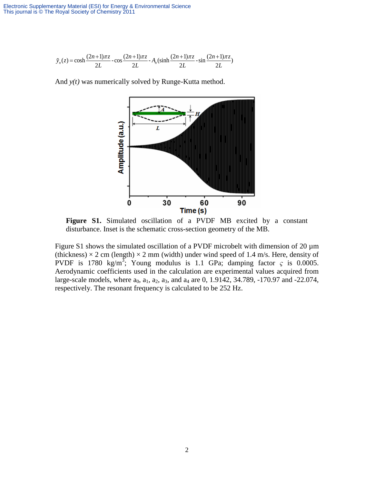$$
\tilde{y}_n(z) = \cosh \frac{(2n+1)\pi z}{2L} - \cos \frac{(2n+1)\pi z}{2L} - A_n(\sinh \frac{(2n+1)\pi z}{2L} - \sin \frac{(2n+1)\pi z}{2L})
$$

And *y(t)* was numerically solved by Runge-Kutta method.



**Figure S1.** Simulated oscillation of a PVDF MB excited by a constant disturbance. Inset is the schematic cross-section geometry of the MB.

Figure S1 shows the simulated oscillation of a PVDF microbelt with dimension of 20  $\mu$ m (thickness)  $\times$  2 cm (length)  $\times$  2 mm (width) under wind speed of 1.4 m/s. Here, density of PVDF is 1780 kg/m<sup>3</sup>; Young modulus is 1.1 GPa; damping factor  $\varsigma$  is 0.0005. Aerodynamic coefficients used in the calculation are experimental values acquired from large-scale models, where  $a_0$ ,  $a_1$ ,  $a_2$ ,  $a_3$ , and  $a_4$  are 0, 1.9142, 34.789, -170.97 and -22.074, respectively. The resonant frequency is calculated to be 252 Hz.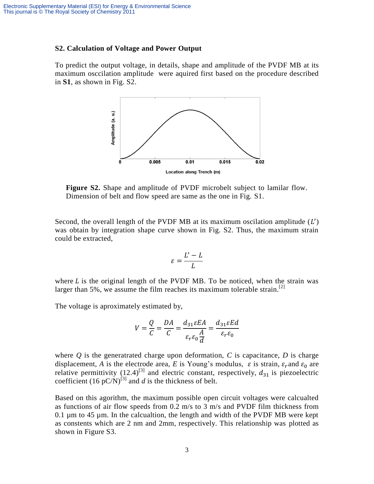### **S2. Calculation of Voltage and Power Output**

To predict the output voltage, in details, shape and amplitude of the PVDF MB at its maximum osccilation amplitude were aquired first based on the procedure described in **S1**, as shown in Fig. S2.



**Figure S2.** Shape and amplitude of PVDF microbelt subject to lamilar flow. Dimension of belt and flow speed are same as the one in Fig. S1.

Second, the overall length of the PVDF MB at its maximum oscilation amplitude  $(L')$ was obtain by integration shape curve shown in Fig. S2. Thus, the maximum strain could be extracted,

$$
\varepsilon = \frac{L'-L}{L}
$$

where  $L$  is the original length of the PVDF MB. To be noticed, when the strain was larger than 5%, we assume the film reaches its maximum tolerable strain.<sup>[2]</sup>

The voltage is aproximately estimated by,

$$
V = \frac{Q}{C} = \frac{DA}{C} = \frac{d_{31}\varepsilon EA}{\varepsilon_r \varepsilon_0 \frac{A}{d}} = \frac{d_{31}\varepsilon Ed}{\varepsilon_r \varepsilon_0}
$$

where  $Q$  is the generatrated charge upon deformation,  $C$  is capacitance,  $D$  is charge displacement, *A* is the electrode area, *E* is Young's modulus,  $\varepsilon$  is strain,  $\varepsilon_r$  and  $\varepsilon_0$  are relative permittivity (12.4)<sup>[3]</sup> and electric constant, respectively,  $d_{31}$  is piezoelectric coefficient  $(16 \text{ pC/N})^{[3]}$  and *d* is the thickness of belt.

Based on this agorithm, the maximum possible open circuit voltages were calcualted as functions of air flow speeds from 0.2 m/s to 3 m/s and PVDF film thickness from 0.1 µm to 45 µm. In the calcualtion, the length and width of the PVDF MB were kept as constents which are 2 nm and 2mm, respectively. This relationship was plotted as shown in Figure S3.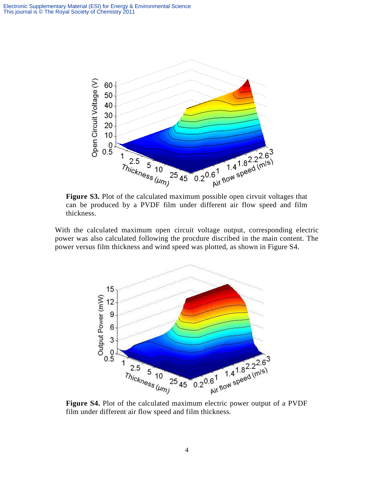

can be produced by a PVDF film under different air flow speed and film thickness.

With the calculated maximum open circuit voltage output, corresponding electric power was also calculated following the procdure discribed in the main content. The power versus film thickness and wind speed was plotted, as shown in Figure S4.



**Figure S4.** Plot of the calculated maximum electric power output of a PVDF film under different air flow speed and film thickness.